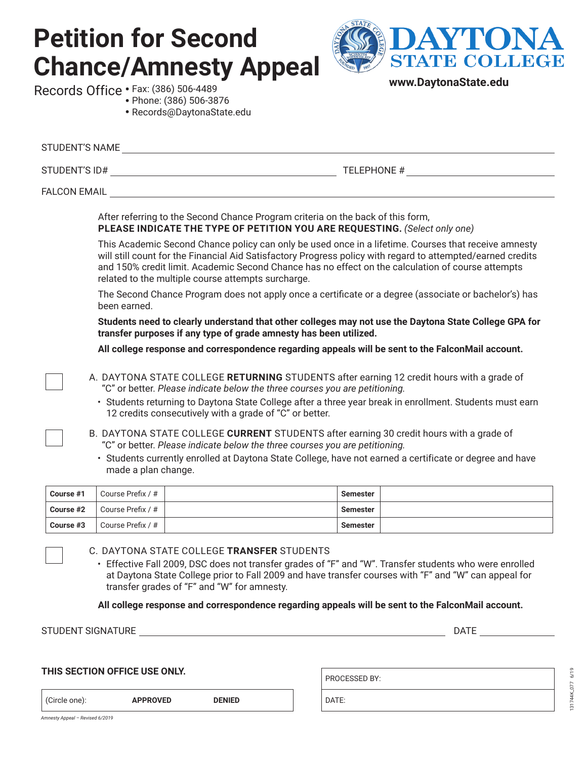# **Petition for Second Chance/Amnesty Appeal** Records Office • Fax: (386) 506-4489



**www.DaytonaState.edu**

|           |                     | • Phone: (386) 506-3876<br>· Records@DaytonaState.edu                                                                                                                                                                                                                                                                                                                          |                 |  |  |
|-----------|---------------------|--------------------------------------------------------------------------------------------------------------------------------------------------------------------------------------------------------------------------------------------------------------------------------------------------------------------------------------------------------------------------------|-----------------|--|--|
|           |                     | STUDENT'S NAME                                                                                                                                                                                                                                                                                                                                                                 |                 |  |  |
|           |                     |                                                                                                                                                                                                                                                                                                                                                                                |                 |  |  |
|           |                     | FALCON EMAIL <b>Example 20</b> PALCON EMAIL                                                                                                                                                                                                                                                                                                                                    |                 |  |  |
|           |                     | After referring to the Second Chance Program criteria on the back of this form,<br>PLEASE INDICATE THE TYPE OF PETITION YOU ARE REQUESTING. (Select only one)                                                                                                                                                                                                                  |                 |  |  |
|           |                     | This Academic Second Chance policy can only be used once in a lifetime. Courses that receive amnesty<br>will still count for the Financial Aid Satisfactory Progress policy with regard to attempted/earned credits<br>and 150% credit limit. Academic Second Chance has no effect on the calculation of course attempts<br>related to the multiple course attempts surcharge. |                 |  |  |
|           | been earned.        | The Second Chance Program does not apply once a certificate or a degree (associate or bachelor's) has                                                                                                                                                                                                                                                                          |                 |  |  |
|           |                     | Students need to clearly understand that other colleges may not use the Daytona State College GPA for<br>transfer purposes if any type of grade amnesty has been utilized.                                                                                                                                                                                                     |                 |  |  |
|           |                     | All college response and correspondence regarding appeals will be sent to the FalconMail account.                                                                                                                                                                                                                                                                              |                 |  |  |
|           |                     | A. DAYTONA STATE COLLEGE RETURNING STUDENTS after earning 12 credit hours with a grade of<br>"C" or better. Please indicate below the three courses you are petitioning.<br>· Students returning to Daytona State College after a three year break in enrollment. Students must earn<br>12 credits consecutively with a grade of "C" or better.                                |                 |  |  |
|           |                     | B. DAYTONA STATE COLLEGE CURRENT STUDENTS after earning 30 credit hours with a grade of<br>"C" or better. Please indicate below the three courses you are petitioning.                                                                                                                                                                                                         |                 |  |  |
|           | made a plan change. | · Students currently enrolled at Daytona State College, have not earned a certificate or degree and have                                                                                                                                                                                                                                                                       |                 |  |  |
| Course #1 | Course Prefix / #   |                                                                                                                                                                                                                                                                                                                                                                                | <b>Semester</b> |  |  |
| Course #2 | Course Prefix / #   |                                                                                                                                                                                                                                                                                                                                                                                | <b>Semester</b> |  |  |
| Course #3 | Course Prefix / #   |                                                                                                                                                                                                                                                                                                                                                                                | <b>Semester</b> |  |  |
|           |                     | C. DAYTONA STATE COLLEGE TRANSFER STUDENTS<br>· Effective Fall 2009, DSC does not transfer grades of "F" and "W". Transfer students who were enrolled<br>at Daytona State College prior to Fall 2009 and have transfer courses with "F" and "W" can appeal for<br>transfer grades of "F" and "W" for amnesty.                                                                  |                 |  |  |

**All college response and correspondence regarding appeals will be sent to the FalconMail account.**

STUDENT SIGNATURE LETTER AND THE STUDENT SIGNATURE AND THE DATE AND A STUDENT SIGNATURE

#### **THIS SECTION OFFICE USE ONLY.**

| Circle one):                    |  |
|---------------------------------|--|
| Amnesty Appeal - Revised 6/2019 |  |

(Circle one): **APPROVED DENIED**

DATE:

PROCESSED BY: